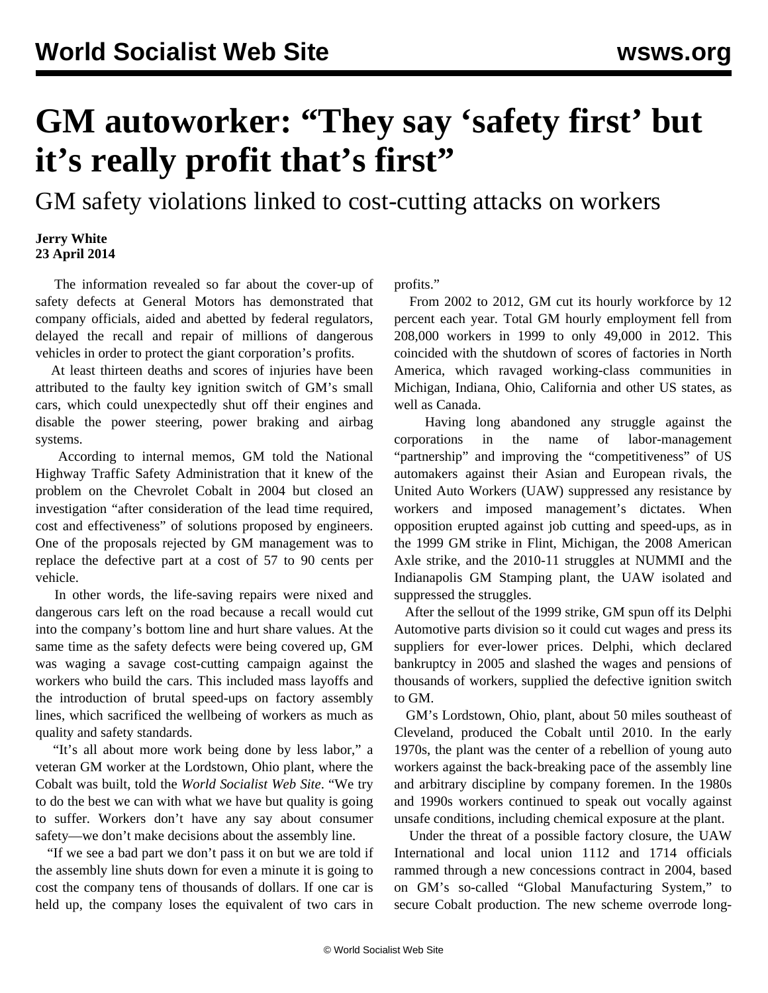## **GM autoworker: "They say 'safety first' but it's really profit that's first"**

GM safety violations linked to cost-cutting attacks on workers

## **Jerry White 23 April 2014**

 The information revealed so far about the cover-up of safety defects at General Motors has demonstrated that company officials, aided and abetted by federal regulators, delayed the recall and repair of millions of dangerous vehicles in order to protect the giant corporation's profits.

 At least thirteen deaths and scores of injuries have been attributed to the faulty key ignition switch of GM's small cars, which could unexpectedly shut off their engines and disable the power steering, power braking and airbag systems.

 According to internal memos, GM told the National Highway Traffic Safety Administration that it knew of the problem on the Chevrolet Cobalt in 2004 but closed an investigation "after consideration of the lead time required, cost and effectiveness" of solutions proposed by engineers. One of the proposals rejected by GM management was to replace the defective part at a cost of 57 to 90 cents per vehicle.

 In other words, the life-saving repairs were nixed and dangerous cars left on the road because a recall would cut into the company's bottom line and hurt share values. At the same time as the safety defects were being covered up, GM was waging a savage cost-cutting campaign against the workers who build the cars. This included mass layoffs and the introduction of brutal speed-ups on factory assembly lines, which sacrificed the wellbeing of workers as much as quality and safety standards.

 "It's all about more work being done by less labor," a veteran GM worker at the Lordstown, Ohio plant, where the Cobalt was built, told the *World Socialist Web Site*. "We try to do the best we can with what we have but quality is going to suffer. Workers don't have any say about consumer safety—we don't make decisions about the assembly line.

 "If we see a bad part we don't pass it on but we are told if the assembly line shuts down for even a minute it is going to cost the company tens of thousands of dollars. If one car is held up, the company loses the equivalent of two cars in profits."

 From 2002 to 2012, GM cut its hourly workforce by 12 percent each year. Total GM hourly employment fell from 208,000 workers in 1999 to only 49,000 in 2012. This coincided with the shutdown of scores of factories in North America, which ravaged working-class communities in Michigan, Indiana, Ohio, California and other US states, as well as Canada.

 Having long abandoned any struggle against the corporations in the name of labor-management "partnership" and improving the "competitiveness" of US automakers against their Asian and European rivals, the United Auto Workers (UAW) suppressed any resistance by workers and imposed management's dictates. When opposition erupted against job cutting and speed-ups, as in the 1999 GM strike in Flint, Michigan, the 2008 American Axle strike, and the 2010-11 struggles at NUMMI and the Indianapolis GM Stamping plant, the UAW isolated and suppressed the struggles.

 After the sellout of the 1999 strike, GM spun off its Delphi Automotive parts division so it could cut wages and press its suppliers for ever-lower prices. Delphi, which declared bankruptcy in 2005 and slashed the wages and pensions of thousands of workers, supplied the defective ignition switch to GM.

 GM's Lordstown, Ohio, plant, about 50 miles southeast of Cleveland, produced the Cobalt until 2010. In the early 1970s, the plant was the center of a rebellion of young auto workers against the back-breaking pace of the assembly line and arbitrary discipline by company foremen. In the 1980s and 1990s workers continued to speak out vocally against unsafe conditions, including chemical exposure at the plant.

 Under the threat of a possible factory closure, the UAW International and local union 1112 and 1714 officials rammed through a new concessions contract in 2004, based on GM's so-called "Global Manufacturing System," to secure Cobalt production. The new scheme overrode long